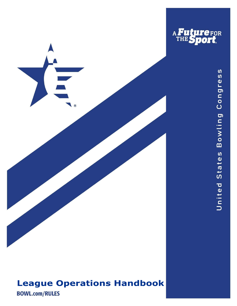

# **League Operations Handbook**

**BOWL.com/RULES**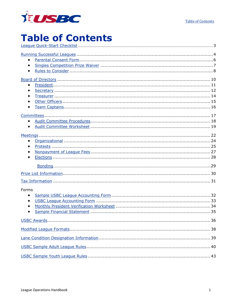

## <span id="page-1-0"></span>**Table of Contents** League Quick-Start Checklist

| $\bullet$              |
|------------------------|
| $\bullet$<br>$\bullet$ |
| $\bullet$              |
| $\bullet$<br>$\bullet$ |
|                        |
|                        |
| Forms<br>$\bullet$     |
|                        |
|                        |
|                        |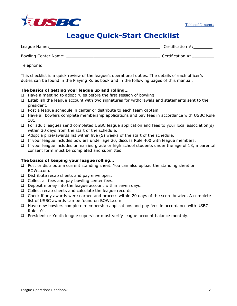

[Table of Contents](#page-1-0)

# **League Quick-Start Checklist**

<span id="page-2-0"></span>

| League Name:                | Certification $#$ : |
|-----------------------------|---------------------|
| <b>Bowling Center Name:</b> | Certification $#$ : |
| Telephone:                  |                     |

This checklist is a quick review of the league's operational duties. The details of each officer's duties can be found in the Playing Rules book and in the following pages of this manual.

### **The basics of getting your league up and rolling…**

- ❑ Have a meeting to adopt rules before the first session of bowling.
- ❑ Establish the league account with two signatures for withdrawals and statements sent to the president.
- ❑ Post a league schedule in center or distribute to each team captain.
- ❑ Have all bowlers complete membership applications and pay fees in accordance with USBC Rule 101.
- ❑ For adult leagues send completed USBC league application and fees to your local association(s) within 30 days from the start of the schedule.
- $\Box$  Adopt a prize/awards list within five (5) weeks of the start of the schedule.
- ❑ If your league includes bowlers under age 20, discuss Rule 400 with league members.
- ❑ If your league includes unmarried grade or high school students under the age of 18, a parental consent form must be completed and submitted.

### **The basics of keeping your league rolling…**

- ❑ Post or distribute a current standing sheet. You can also upload the standing sheet on BOWL.com.
- ❑ Distribute recap sheets and pay envelopes.
- ❑ Collect all fees and pay bowling center fees.
- ❑ Deposit money into the league account within seven days.
- ❑ Collect recap sheets and calculate the league records.
- ❑ Check if any awards were earned and process within 20 days of the score bowled. A complete list of USBC awards can be found on BOWL.com.
- ❑ Have new bowlers complete membership applications and pay fees in accordance with USBC Rule 101.
- ❑ President or Youth league supervisor must verify league account balance monthly.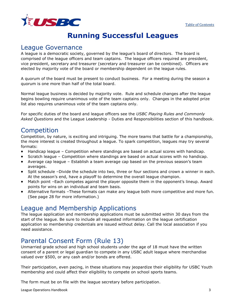

# **Running Successful Leagues**

### <span id="page-3-0"></span>League Governance

A league is a democratic society, governed by the league's board of directors. The board is comprised of the league officers and team captains. The league officers required are president, vice president, secretary and treasurer (secretary and treasurer can be combined). Officers are elected by majority vote of the board or membership dependent on the league rules.

A quorum of the board must be present to conduct business. For a meeting during the season a quorum is one more than half of the total board.

Normal league business is decided by majority vote. Rule and schedule changes after the league begins bowling require unanimous vote of the team captains only. Changes in the adopted prize list also requires unanimous vote of the team captains only.

For specific duties of the board and league officers see the *USBC Playing Rules and Commonly Asked Questions* and the League Leadership - Duties and Responsibilities section of this handbook.

## **Competition**

Competition, by nature, is exciting and intriguing. The more teams that battle for a championship, the more interest is created throughout a league. To spark competition, leagues may try several formats:

- Handicap league Competition where standings are based on actual scores with handicap.
- Scratch league Competition where standings are based on actual scores with no handicap.
- Average cap league Establish a team average cap based on the previous season's team averages.
- Split schedule –Divide the schedule into two, three or four sections and crown a winner in each. At the season's end, have a playoff to determine the overall league champion.
- Match point –Each competes against the player opposite them in the opponent's lineup. Award points for wins on an individual and team basis.
- Alternative formats –These formats can make any league both more competitive and more fun. (See page 28 for more information.)

## League and Membership Applications

The league application and membership applications must be submitted within 30 days from the start of the league. Be sure to include all requested information on the league certification application so membership credentials are issued without delay. Call the local association if you need assistance.

## Parental Consent Form (Rule 13)

Unmarried grade school and high school students under the age of 18 must have the written consent of a parent or legal guardian to compete in any USBC adult league where merchandise valued over \$500, or any cash and/or bonds are offered.

Their participation, even pacing, in these situations may jeopardize their eligibility for USBC Youth membership and could affect their eligibility to compete on school sports teams.

The form must be on file with the league secretary before participation.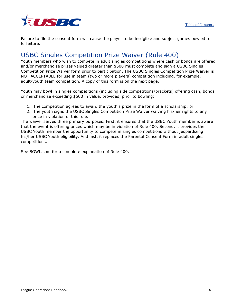

Failure to file the consent form will cause the player to be ineligible and subject games bowled to forfeiture.

## USBC Singles Competition Prize Waiver (Rule 400)

Youth members who wish to compete in adult singles competitions where cash or bonds are offered and/or merchandise prizes valued greater than \$500 must complete and sign a USBC Singles Competition Prize Waiver form prior to participation. The USBC Singles Competition Prize Waiver is NOT ACCEPTABLE for use in team (two or more players) competition including, for example, adult/youth team competition. A copy of this form is on the next page.

Youth may bowl in singles competitions (including side competitions/brackets) offering cash, bonds or merchandise exceeding \$500 in value, provided, prior to bowling:

- 1. The competition agrees to award the youth's prize in the form of a scholarship; or
- 2. The youth signs the USBC Singles Competition Prize Waiver waiving his/her rights to any prize in violation of this rule.

The waiver serves three primary purposes. First, it ensures that the USBC Youth member is aware that the event is offering prizes which may be in violation of Rule 400. Second, it provides the USBC Youth member the opportunity to compete in singles competitions without jeopardizing his/her USBC Youth eligibility. And last, it replaces the Parental Consent Form in adult singles competitions.

See BOWL.com for a complete explanation of Rule 400.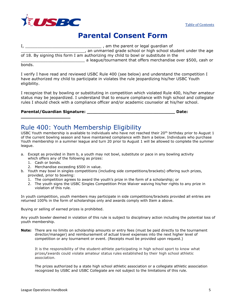

## **Parental Consent Form**

<span id="page-5-0"></span>I, \_\_\_\_\_\_\_\_\_\_\_\_\_\_\_\_\_\_\_\_\_\_\_\_\_\_\_\_\_\_\_ , am the parent or legal guardian of , an unmarried grade school or high school student under the age of 18. By signing this form I am authorizing my child to bowl or substitute in the \_\_\_\_\_\_\_\_\_\_\_\_\_\_\_\_\_\_\_\_\_\_\_\_\_\_ a league/tournament that offers merchandise over \$500, cash or

### bonds.

I verify I have read and reviewed USBC Rule 400 (see below) and understand the competition I have authorized my child to participate in violates the rule jeopardizing his/her USBC Youth eligibility.

I recognize that by bowling or substituting in competition which violated Rule 400, his/her amateur status may be jeopardized. I understand that to ensure compliance with high school and collegiate rules I should check with a compliance officer and/or academic counselor at his/her school.

### **Parental/Guardian Signature: \_\_\_\_\_\_\_\_\_\_\_\_\_\_\_\_\_\_\_\_\_\_\_\_\_\_\_\_\_\_\_\_ Date:**

**\_\_\_\_\_\_\_\_\_\_\_\_\_\_\_\_\_\_**

### Rule 400: Youth Membership Eligibility

USBC Youth membership is available to individuals who have not reached their 20<sup>th</sup> birthday prior to August 1 of the current bowling season and have maintained compliance with Item a below. Individuals who purchase Youth membership in a summer league and turn 20 prior to August 1 will be allowed to complete the summer league.

- a. Except as provided in Item b, a youth may not bowl, substitute or pace in any bowling activity
	- which offers any of the following as prizes:
	- 1. Cash or bonds.
	- 2. Merchandise exceeding \$500 in value.
- b. Youth may bowl in singles competitions (including side competitions/brackets) offering such prizes, provided, prior to bowling:
	- 1. The competition agrees to award the youth's prize in the form of a scholarship; or
	- 2. The youth signs the USBC Singles Competition Prize Waiver waiving his/her rights to any prize in violation of this rule.

In youth competition, youth members may participate in side competitions/brackets provided all entries are returned 100% in the form of scholarships only and awards comply with Item a above.

Buying or selling of earned prizes is prohibited.

Any youth bowler deemed in violation of this rule is subject to disciplinary action including the potential loss of youth membership.

**Note:** There are no limits on scholarship amounts or entry fees (must be paid directly to the tournament director/manager) and reimbursement of actual travel expenses into the next higher level of competition or any tournament or event. (Receipts must be provided upon request.)

It is the responsibility of the student-athlete participating in high school sport to know what prizes/awards could violate amateur status rules established by their high school athletic association.

The prizes authorized by a state high school athletic association or a collegiate athletic association recognized by USBC and USBC Collegiate are not subject to the limitations of this rule.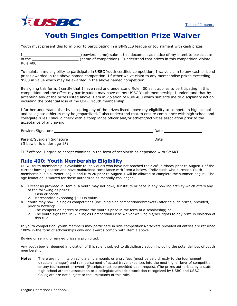## **Youth Singles Competition Prize Waiver**

<span id="page-6-0"></span>Youth must present this form prior to participating in a SINGLES league or tournament with cash prizes

I \_\_\_\_\_\_\_\_\_\_\_\_\_\_\_\_\_\_\_\_\_\_\_\_\_\_(bowlers name) submit this document as notice of my intent to participate in the **the computation** (name of competition). I understand that prizes in this competition violate Rule 400.

To maintain my eligibility to participate in USBC Youth certified competition, I waive claim to any cash or bond prizes awarded in the above named competition. I further waive claim to any merchandise prizes exceeding \$500 in value which may be awarded in the above named competition.

By signing this form, I certify that I have read and understand Rule 400 as it applies to participating in this competition and the effect my participation may have on my USBC Youth membership. I understand that by accepting any of the prizes listed above, I am in violation of Rule 400 which subjects me to disciplinary action including the potential loss of my USBC Youth membership.

I further understand that by accepting any of the prizes listed above my eligibility to compete in high school and collegiate athletics may be jeopardized. I also understand that to ensure compliance with high school and collegiate rules I should check with a compliance officer and/or athletic/activities association prior to the acceptance of any award.

| <b>Bowlers Signature</b>    | Date |
|-----------------------------|------|
| Parent/Guardian Signature   | Date |
| (If bowler is under age 18) |      |

 $\Box$  If offered, I agree to accept winnings in the form of scholarships deposited with SMART.

### **Rule 400: Youth Membership Eligibility**

USBC Youth membership is available to individuals who have not reached their 20<sup>th</sup> birthday prior to August 1 of the current bowling season and have maintained compliance with Item a below. Individuals who purchase Youth membership in a summer league and turn 20 prior to August 1 will be allowed to complete the summer league. The age limitation is waived for those authorized as mentally challenged.

- a. Except as provided in Item b, a youth may not bowl, substitute or pace in any bowling activity which offers any of the following as prizes:
	- 1. Cash or bonds.
	- 2. Merchandise exceeding \$500 in value.
- b. Youth may bowl in singles competitions (including side competitions/brackets) offering such prizes, provided, prior to bowling:
	- 1. The competition agrees to award the youth's prize in the form of a scholarship; or
	- 2. The youth signs the USBC Singles Competition Prize Waiver waiving his/her rights to any prize in violation of this rule.

In youth competition, youth members may participate in side competitions/brackets provided all entries are returned 100% in the form of scholarships only and awards comply with Item a above.

Buying or selling of earned prizes is prohibited.

Any youth bowler deemed in violation of this rule is subject to disciplinary action including the potential loss of youth membership.

**Note:** There are no limits on scholarship amounts or entry fees (must be paid directly to the tournament director/manager) and reimbursement of actual travel expenses into the next higher level of competition or any tournament or event. (Receipts must be provided upon request.)The prizes authorized by a state high school athletic association or a collegiate athletic association recognized by USBC and USBC Collegiate are not subject to the limitations of this rule.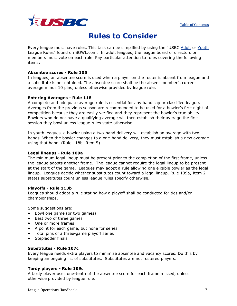

# **Rules to Consider**

<span id="page-7-0"></span>Every league must have rules. This task can be simplified by using the "USBC [Adult](http://usbcongress.http.internapcdn.net/usbcongress/bowl/rules/pdfs/LeagueRules-AdultLOH7-20-11.pdf) or [Youth](http://usbcongress.http.internapcdn.net/usbcongress/bowl/rules/pdfs/LeagueRules-YouthLOH7-20-11.pdf) League Rules" found on BOWL.com. In adult leagues, the league board of directors or members must vote on each rule. Pay particular attention to rules covering the following items:

### **Absentee scores - Rule 105**

In leagues, an absentee score is used when a player on the roster is absent from league and a substitute is not obtained. The absentee score shall be the absent member's current average minus 10 pins, unless otherwise provided by league rule.

### **Entering Averages - Rule 118**

A complete and adequate average rule is essential for any handicap or classified league. Averages from the previous season are recommended to be used for a bowler's first night of competition because they are easily verified and they represent the bowler's true ability. Bowlers who do not have a qualifying average will then establish their average the first session they bowl unless league rules state otherwise.

In youth leagues, a bowler using a two-hand delivery will establish an average with two hands. When the bowler changes to a one-hand delivery, they must establish a new average using that hand. (Rule 118b, Item 5)

### **Legal lineups - Rule 109a**

The minimum legal lineup must be present prior to the completion of the first frame, unless the league adopts another frame. The league cannot require the legal lineup to be present at the start of the game. Leagues may adopt a rule allowing one eligible bowler as the legal lineup. Leagues decide whether substitutes count toward a legal lineup. Rule 109a, Item 2 states substitutes count unless league rules specify otherwise.

### **Playoffs - Rule 113b**

Leagues should adopt a rule stating how a playoff shall be conducted for ties and/or championships.

Some suggestions are:

- Bowl one game (or two games)
- Best two of three games
- One or more frames
- A point for each game, but none for series
- Total pins of a three-game playoff series
- Stepladder finals

### **Substitutes** - **Rule 107c**

Every league needs extra players to minimize absentee and vacancy scores. Do this by keeping an ongoing list of substitutes. Substitutes are not rostered players.

### **Tardy players - Rule 109c**

A tardy player uses one-tenth of the absentee score for each frame missed, unless otherwise provided by league rule.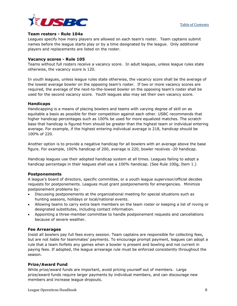



### **Team rosters - Rule 104a**

Leagues specify how many players are allowed on each team's roster. Team captains submit names before the league starts play or by a time designated by the league. Only additional players and replacements are listed on the roster.

### **Vacancy scores - Rule 105**

Teams without full rosters receive a vacancy score. In adult leagues, unless league rules state otherwise, the vacancy score is 120.

In youth leagues, unless league rules state otherwise, the vacancy score shall be the average of the lowest average bowler on the opposing team's roster. If two or more vacancy scores are required, the average of the next-to-the-lowest bowler on the opposing team's roster shall be used for the second vacancy score. Youth leagues also may set their own vacancy score.

### **Handicaps**

Handicapping is a means of placing bowlers and teams with varying degree of skill on as equitable a basis as possible for their competition against each other. USBC recommends that higher handicap percentages such as 100% be used for more equalized matches. The scratch base that handicap is figured from should be greater than the highest team or individual entering average. For example, if the highest entering individual average is 218, handicap should be 100% of 220.

Another option is to provide a negative handicap for all bowlers with an average above the base figure. For example, 100% handicap of 200, average is 220, bowler receives -20 handicap.

Handicap leagues use their adopted handicap system at all times. Leagues failing to adopt a handicap percentage in their leagues shall use a 100% handicap. (See Rule 100g, Item 1.)

### **Postponements**

A league's board of directors, specific committee, or a youth league supervisor/official decides requests for postponements. Leagues must grant postponements for emergencies. Minimize postponement problems by:

- Discussing postponements at the organizational meeting for special situations such as hunting seasons, holidays or local/national events.
- Allowing teams to carry extra team members on the team roster or keeping a list of roving or designated substitutes, including contact information.
- Appointing a three-member committee to handle postponement requests and cancellations because of severe weather.

### **Fee Arrearages**

Insist all bowlers pay full fees every session. Team captains are responsible for collecting fees, but are not liable for teammates' payments. To encourage prompt payment, leagues can adopt a rule that a team forfeits any games when a bowler is present and bowling and not current in paying fees. If adopted, the league arrearage rule must be enforced consistently throughout the season.

### **Prize/Award Fund**

While prize/award funds are important, avoid pricing yourself out of members. Large prize/award funds require larger payments by individual members, and can discourage new members and increase league dropouts.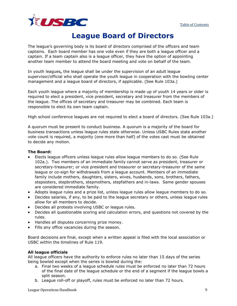

## **League Board of Directors**

<span id="page-9-0"></span>The league's governing body is its board of directors comprised of the officers and team captains. Each board member has one vote even if they are both a league officer and a captain. If a team captain also is a league officer, they have the option of appointing another team member to attend the board meeting and vote on behalf of the team.

In youth leagues**,** the league shall be under the supervision of an adult league supervisor/official who shall operate the youth league in cooperation with the bowling center management and a league board of directors, if applicable. (See Rule 103a.)

Each youth league where a majority of membership is made up of youth 14 years or older is required to elect a president, vice president, secretary and treasurer from the members of the league. The offices of secretary and treasurer may be combined. Each team is responsible to elect its own team captain.

High school conference leagues are not required to elect a board of directors. (See Rule 103a.)

A quorum must be present to conduct business. A quorum is a majority of the board for business transactions unless league rules state otherwise. Unless USBC Rules state another vote count is required, a majority (one more than half) of the votes cast must be obtained to decide any motion.

### **The Board:**

- Elects league officers unless league rules allow league members to do so. (See Rule 102a.). Two members of an immediate family cannot serve as president, treasurer or secretary-treasurer; or vice president and treasurer or secretary-treasurer of the same league or co-sign for withdrawals from a league account. Members of an immediate family include mothers, daughters, sisters, wives, husbands, sons, brothers, fathers, stepsisters, stepbrothers, stepmothers, stepfathers and in-laws. Same gender spouses are considered immediate family.
- Adopts league rules and a prize list, unless league rules allow league members to do so.
- Decides salaries, if any, to be paid to the league secretary or others, unless league rules allow for all members to decide.
- Decides all protests involving USBC or league rules.
- Decides all questionable scoring and calculation errors, and questions not covered by the rules.
- Handles all disputes concerning prize money.
- Fills any office vacancies during the season.

Board decisions are final, except when a written appeal is filed with the local association or USBC within the timelines of Rule 119.

### **All league officials**

All league officers have the authority to enforce rules no later than 15 days of the series being bowled except when the series is bowled during the:

- a. Final two weeks of a league schedule rules must be enforced no later than 72 hours of the final date of the league schedule or the end of a segment if the league bowls a split season.
- b. League roll-off or playoff, rules must be enforced no later than 72 hours.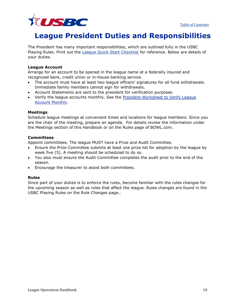

## <span id="page-10-0"></span>**League President Duties and Responsibilities**

The President has many important responsibilities, which are outlined fully in the USBC Playing Rules. Print out the [League Quick-Start Checklist](http://usbcongress.http.internapcdn.net/usbcongress/bowl/rules/pdfs/LeagueOperationChecklistLOH7-20-11.pdf) for reference. Below are details of your duties.

### **League Account**

Arrange for an account to be opened in the league name at a federally insured and recognized bank, credit union or in-house banking service.

- The account must have at least two league officers' signatures for all fund withdrawals. Immediate family members cannot sign for withdrawals.
- Account Statements are sent to the president for verification purposes.
- Verify the league accounts monthly. See the President Worksheet to Verify League [Account Monthly.](http://usbcongress.http.internapcdn.net/usbcongress/bowl/rules/pdfs/League%20President%20Worksheet%20to%20Verify%20Account%201-27-11.pdf)

### **Meetings**

Schedule league meetings at convenient times and locations for league members. Since you are the chair of the meeting, prepare an agenda. For details review the information under the Meetings section of this Handbook or on the Rules page of BOWL.com.

### **Committees**

Appoint committees. The league MUST have a Prize and Audit Committee.

- Ensure the Prize Committee submits at least one prize list for adoption by the league by week five (5). A meeting should be scheduled to do so.
- You also must ensure the Audit Committee completes the audit prior to the end of the season.
- Encourage the treasurer to assist both committees.

### **Rules**

Since part of your duties is to enforce the rules, become familiar with the rules changes for the upcoming season as well as rules that affect the league. Rules changes are found in the USBC Playing Rules on the Rule Changes page..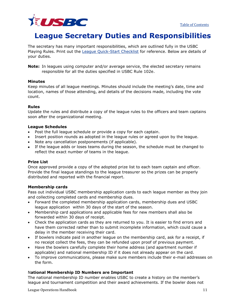

## <span id="page-11-0"></span>**League Secretary Duties and Responsibilities**

The secretary has many important responsibilities, which are outlined fully in the USBC Playing Rules. Print out the [League Quick-Start Checklist](http://usbcongress.http.internapcdn.net/usbcongress/bowl/rules/pdfs/LeagueOperationChecklistLOH7-20-11.pdf) for reference. Below are details of your duties.

**Note:** In leagues using computer and/or average service, the elected secretary remains responsible for all the duties specified in USBC Rule 102e.

### **Minutes**

Keep minutes of all league meetings. Minutes should include the meeting's date, time and location, names of those attending, and details of the decisions made, including the vote count.

### **Rules**

Update the rules and distribute a copy of the league rules to the officers and team captains soon after the organizational meeting.

### **League Schedules**

- Post the full league schedule or provide a copy for each captain.
- Insert position rounds as adopted in the league rules or agreed upon by the league.
- Note any cancellation postponements (if applicable).
- If the league adds or loses teams during the season, the schedule must be changed to reflect the exact number of teams in the league.

### **Prize List**

Once approved provide a copy of the adopted prize list to each team captain and officer. Provide the final league standings to the league treasurer so the prizes can be properly distributed and reported with the financial report.

### **Membership cards**

Pass out individual USBC membership application cards to each league member as they join and collecting completed cards and membership dues.

- Forward the completed membership application cards, membership dues and USBC league application within 30 days of the start of the season.
- Membership card applications and applicable fees for new members shall also be forwarded within 30 days of receipt.
- Check the application cards as they are returned to you. It is easier to find errors and have them corrected rather than to submit incomplete information, which could cause a delay in the member receiving their card.
- If bowlers indicate paid in another league on the membership card, ask for a receipt, if no receipt collect the fees, they can be refunded upon proof of previous payment.
- Have the bowlers carefully complete their home address (and apartment number if applicable) and national membership ID if it does not already appear on the card.
- To improve communications, please make sure members include their e-mail addresses on the form.

### N**ational Membership ID Numbers are Important**

The national membership ID number enables USBC to create a history on the member's league and tournament competition and their award achievements. If the bowler does not

**League Operations Handbook** 11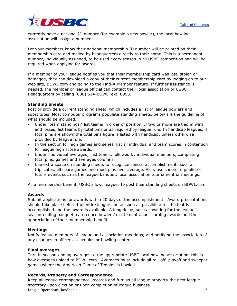

currently have a national ID number (for example a new bowler), the local bowling association will assign a number*.*

Let your members know their national membership ID number will be printed on their membership card and mailed by headquarters directly to their home. This is a permanent number, individually assigned, to be used every season in all USBC competition and will be required when applying for awards.

If a member of your league notifies you that their membership card was lost, stolen or damaged, they can download a copy of their current membership card by logging on to our web site, BOWL.com and going to the Find-A-Member feature. If further assistance is needed, the member or league official can contact their local association or USBC Headquarters by calling (800) 514-BOWL, ext. 8953.

### **Standing Sheets**

Post or provide a current standing sheet, which includes a list of league bowlers and substitutes. Most computer programs populate standing sheets, below are the guideline of what should be included.

- Under "team standings," list teams in order of position. If two or more are tied in wins and losses, list teams by total pins or as required by league rule. In handicap leagues, if total pins are shown the total pins figure is listed with handicap, unless otherwise provided by league rule.
- In the section for high games and series, list all individual and team scores in contention for league high score awards.
- Under "individual averages," list teams, followed by individual members, completing total pins, games and averages columns.
- Use extra space on standing sheets to recognize special accomplishments such as triplicates, all spare games and most pins over average. Also, use sheets to publicize future events such as the league banquet, local association tournament or meetings.

As a membership benefit, USBC allows leagues to post their standing sheets on BOWL.com

### **Awards**

Submit applications for awards within 20 days of the accomplishment. Award presentations should take place before the entire league and as soon as possible after the feat is accomplished and the award is available. A long delay, such as waiting for the league's season-ending banquet, can reduce bowlers' excitement about earning awards and their appreciation of their membership benefits

### **Meetings**

Notify league members of league and association meetings; and notifying the association of any changes in officers, schedules or bowling centers.

### **Final averages**

Turn in season-ending averages to the appropriate USBC local bowling association, this is how averages upload to BOWL.com. Averages must include all roll-off, playoff and sweeper games where the American Game of Tenpins is bowled.

### **Records, Property and Correspondence**

**League Operations Handbook** 12 Keep all league correspondence, records and furnish all league property the next league secretary upon election or upon completion of league business.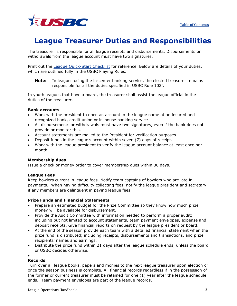

## <span id="page-13-0"></span>**League Treasurer Duties and Responsibilities**

The treasurer is responsible for all league receipts and disbursements. Disbursements or withdrawals from the league account must have two signatures.

Print out the [League Quick-Start Checklist](http://usbcongress.http.internapcdn.net/usbcongress/bowl/rules/pdfs/LeagueOperationChecklistLOH7-20-11.pdf) for reference. Below are details of your duties, which are outlined fully in the USBC Playing Rules.

**Note:** In leagues using the in-center banking service, the elected treasurer remains responsible for all the duties specified in USBC Rule 102f.

In youth leagues that have a board, the treasurer shall assist the league official in the duties of the treasurer.

### **Bank accounts**

- Work with the president to open an account in the league name at an insured and recognized bank, credit union or in-house banking service
- All disbursements or withdrawals must have two signatures, even if the bank does not provide or monitor this.
- Account statements are mailed to the President for verification purposes.
- Deposit funds in the league's account within seven (7) days of receipt.
- Work with the league president to verify the league account balance at least once per month.

### **Membership dues**

Issue a check or money order to cover membership dues within 30 days.

### **League Fees**

Keep bowlers current in league fees. Notify team captains of bowlers who are late in payments. When having difficulty collecting fees, notify the league president and secretary if any members are delinquent in paying league fees.

### **Prize Funds and Financial Statements**

- Prepare an estimated budget for the Prize Committee so they know how much prize money will be available for disbursement.
- Provide the Audit Committee with information needed to perform a proper audit; including but not limited to account statements, team payment envelopes, expense and deposit receipts. Give financial reports on request by the league president or board.
- At the end of the season provide each team with a detailed financial statement when the prize fund is distributed; including receipts, disbursements and transactions, and prize recipients' names and earnings.
- Distribute the prize fund within 21 days after the league schedule ends, unless the board or USBC decides otherwise.

#### • **Records**

Turn over all league books, papers and monies to the next league treasurer upon election or once the season business is complete. All financial records regardless if in the possession of the former or current treasurer must be retained for one (1) year after the league schedule ends. Team payment envelopes are part of the league records.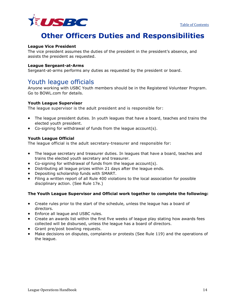

# **Other Officers Duties and Responsibilities**

### <span id="page-14-0"></span>**League Vice President**

The vice president assumes the duties of the president in the president's absence, and assists the president as requested.

### **League Sergeant-at-Arms**

Sergeant-at-arms performs any duties as requested by the president or board.

### Youth league officials

Anyone working with USBC Youth members should be in the Registered Volunteer Program. Go to BOWL.com for details.

### **Youth League Supervisor**

The league supervisor is the adult president and is responsible for:

- The league president duties. In youth leagues that have a board, teaches and trains the elected youth president.
- Co-signing for withdrawal of funds from the league account(s).

### **Youth League Official**

The league official is the adult secretary-treasurer and responsible for:

- The league secretary and treasurer duties. In leagues that have a board, teaches and trains the elected youth secretary and treasurer.
- Co-signing for withdrawal of funds from the league account(s).
- Distributing all league prizes within 21 days after the league ends.
- Depositing scholarship funds with SMART.
- Filing a written report of all Rule 400 violations to the local association for possible disciplinary action. (See Rule 17e.)

### **The Youth League Supervisor and Official work together to complete the following:**

- Create rules prior to the start of the schedule, unless the league has a board of directors.
- Enforce all league and USBC rules.
- Create an awards list within the first five weeks of league play stating how awards fees collected will be disbursed, unless the league has a board of directors.
- Grant pre/post bowling requests.
- Make decisions on disputes, complaints or protests (See Rule 119) and the operations of the league.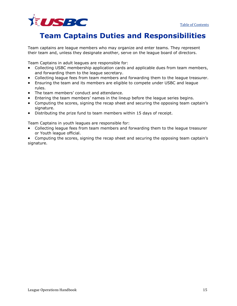

# <span id="page-15-0"></span>**Team Captains Duties and Responsibilities**

Team captains are league members who may organize and enter teams. They represent their team and, unless they designate another, serve on the league board of directors.

Team Captains in adult leagues are responsible for:

- Collecting USBC membership application cards and applicable dues from team members, and forwarding them to the league secretary.
- Collecting league fees from team members and forwarding them to the league treasurer.
- Ensuring the team and its members are eligible to compete under USBC and league rules.
- The team members' conduct and attendance.
- Entering the team members' names in the lineup before the league series begins.
- Computing the scores, signing the recap sheet and securing the opposing team captain's signature.
- Distributing the prize fund to team members within 15 days of receipt.

Team Captains in youth leagues are responsible for:

- Collecting league fees from team members and forwarding them to the league treasurer or Youth league official.
- Computing the scores, signing the recap sheet and securing the opposing team captain's signature.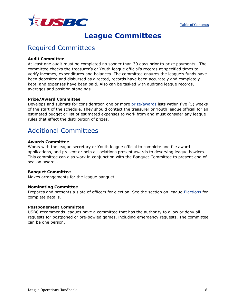

## **League Committees**

## <span id="page-16-0"></span>Required Committees

### **Audit Committee**

At least one audit must be completed no sooner than 30 days prior to prize payments. The committee checks the treasurer's or Youth league official's records at specified times to verify incomes, expenditures and balances. The committee ensures the league's funds have been deposited and disbursed as directed, records have been accurately and completely kept, and expenses have been paid. Also can be tasked with auditing league records, averages and position standings.

### **Prize/Award Committee**

Develops and submits for consideration one or more [prize/awards](http://usbcongress.http.internapcdn.net/usbcongress/bowl/rules/pdfs/HowToAdoptPrizeList.pdf) lists within five (5) weeks of the start of the schedule. They should contact the treasurer or Youth league official for an estimated budget or list of estimated expenses to work from and must consider any league rules that effect the distribution of prizes.

## Additional Committees

### **Awards Committee**

Works with the league secretary or Youth league official to complete and file award applications, and present or help associations present awards to deserving league bowlers. This committee can also work in conjunction with the Banquet Committee to present end of season awards.

### **Banquet Committee**

Makes arrangements for the league banquet.

### **Nominating Committee**

Prepares and presents a slate of officers for election. See the section on league [Elections](#page-27-0) for complete details.

### **Postponement Committee**

USBC recommends leagues have a committee that has the authority to allow or deny all requests for postponed or pre-bowled games, including emergency requests. The committee can be one person.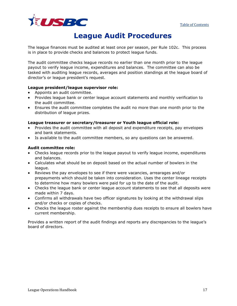

## **League Audit Procedures**

<span id="page-17-0"></span>The league finances must be audited at least once per season, per Rule 102c. This process is in place to provide checks and balances to protect league funds.

The audit committee checks league records no earlier than one month prior to the league payout to verify league income, expenditures and balances. The committee can also be tasked with auditing league records, averages and position standings at the league board of director's or league president's request.

### **League president/league supervisor role:**

- Appoints an audit committee.
- Provides league bank or center league account statements and monthly verification to the audit committee.
- Ensures the audit committee completes the audit no more than one month prior to the distribution of league prizes.

### **League treasurer or secretary/treasurer or Youth league official role:**

- Provides the audit committee with all deposit and expenditure receipts, pay envelopes and bank statements.
- Is available to the audit committee members, so any questions can be answered.

### **Audit committee role:**

- Checks league records prior to the league payout to verify league income, expenditures and balances.
- Calculates what should be on deposit based on the actual number of bowlers in the league.
- Reviews the pay envelopes to see if there were vacancies, arrearages and/or prepayments which should be taken into consideration. Uses the center lineage receipts to determine how many bowlers were paid for up to the date of the audit.
- Checks the league bank or center league account statements to see that all deposits were made within 7 days.
- Confirms all withdrawals have two officer signatures by looking at the withdrawal slips and/or checks or copies of checks.
- Checks the league roster against the membership dues receipts to ensure all bowlers have current membership.

Provides a written report of the audit findings and reports any discrepancies to the league's board of directors.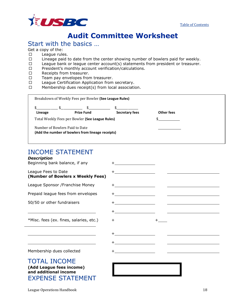



# **Audit Committee Worksheet**

## <span id="page-18-0"></span>Start with the basics …

Get a copy of the:

- $\square$  League rules.
- $\square$  Lineage paid to date from the center showing number of bowlers paid for weekly.
- $\Box$  League bank or league center account(s) statements from president or treasurer.
- $\square$  President's monthly account verification/calculations.
- □ Receipts from treasurer.
- $\Box$  Team pay envelopes from treasurer.
- $\square$  League Certification Application from secretary.<br> $\square$  Membership dues receipt(s) from local association
- Membership dues receipt(s) from local association.

|                                | $\mathbb{S}$ and $\mathbb{S}$                     |                |            |
|--------------------------------|---------------------------------------------------|----------------|------------|
| Lineage                        | <b>Prize Fund</b>                                 | Secretary fees | Other fees |
|                                | Total Weekly Fees per Bowler (See League Rules)   |                |            |
| Number of Bowlers Paid to Date | (Add the number of bowlers from lineage receipts) |                |            |

### INCOME STATEMENT

### *Description*

| Beginning bank balance, if any                                                                       | <u> 1980 - Johann Barnett, fransk politiker (</u> |  |
|------------------------------------------------------------------------------------------------------|---------------------------------------------------|--|
| League Fees to Date<br>(Number of Bowlers x Weekly Fees)                                             |                                                   |  |
| League Sponsor / Franchise Money                                                                     |                                                   |  |
| Prepaid league fees from envelopes                                                                   |                                                   |  |
| 50/50 or other fundraisers                                                                           |                                                   |  |
|                                                                                                      |                                                   |  |
| *Misc. fees (ex. fines, salaries, etc.)                                                              | $\pm$                                             |  |
|                                                                                                      |                                                   |  |
|                                                                                                      |                                                   |  |
| Membership dues collected                                                                            |                                                   |  |
| <b>TOTAL INCOME</b><br>(Add League fees income)<br>and additional income<br><b>EXPENSE STATEMENT</b> |                                                   |  |

League Operations Handbook 18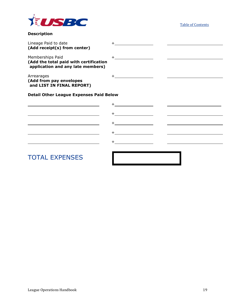

**Description**

[Table of Contents](#page-1-0)

| Lineage Paid to date<br>(Add receipt(s) from center)                                            | <u> 1980 - Jan Samuel Barbara, político e a f</u>                                                                               |  |
|-------------------------------------------------------------------------------------------------|---------------------------------------------------------------------------------------------------------------------------------|--|
| Memberships Paid<br>(Add the total paid with certification<br>application and any late members) |                                                                                                                                 |  |
| Arrearages<br>(Add from pay envelopes<br>and LIST IN FINAL REPORT)                              |                                                                                                                                 |  |
| <b>Detail Other League Expenses Paid Below</b>                                                  |                                                                                                                                 |  |
|                                                                                                 |                                                                                                                                 |  |
|                                                                                                 |                                                                                                                                 |  |
|                                                                                                 |                                                                                                                                 |  |
|                                                                                                 | <u> 1980 - Jan Samuel Barbara, poeta esta</u>                                                                                   |  |
|                                                                                                 | <u>and the state of the state of the state of the state of the state of the state of the state of the state of th</u><br>$^{+}$ |  |
| <b>TOTAL EXPENSES</b>                                                                           |                                                                                                                                 |  |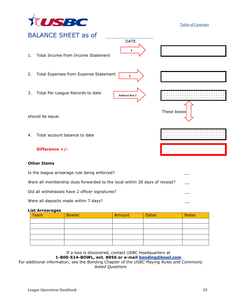

#### [Table of Contents](#page-1-0)



Were all membership dues forwarded to the local within 30 days of receipt?

Did all withdrawals have 2 officer signatures?

Were all deposits made within 7 days?

### **List Arrearages**

| <b>Team</b> | <b>Bowler</b> | Amount | <b>Dates</b> | <b>Notes</b> |
|-------------|---------------|--------|--------------|--------------|
|             |               |        |              |              |
|             |               |        |              |              |
|             |               |        |              |              |
|             |               |        |              |              |
|             |               |        |              |              |

### If a loss is discovered, contact USBC Headquarters at **1-800-514-BOWL, ext. 8956 or e-mail [bonding@bowl.com](mailto:bonding@bowl.com)**

For additional information, see the Bonding Chapter of the *USBC Playing Rules and Commonly Asked Questions*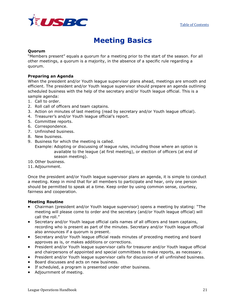

## **Meeting Basics**

### <span id="page-21-0"></span>**Quorum**

"Members present" equals a quorum for a meeting prior to the start of the season. For all other meetings, a quorum is a majority, in the absence of a specific rule regarding a quorum.

### **Preparing an Agenda**

When the president and/or Youth league supervisor plans ahead, meetings are smooth and efficient. The president and/or Youth league supervisor should prepare an agenda outlining scheduled business with the help of the secretary and/or Youth league official. This is a sample agenda:

- 1. Call to order.
- 2. Roll call of officers and team captains.
- 3. Action on minutes of last meeting (read by secretary and/or Youth league official).
- 4. Treasurer's and/or Youth league official's report.
- 5. Committee reports.
- 6. Correspondence.
- 7. Unfinished business.
- 8. New business.
- 9. Business for which the meeting is called.

Example: Adopting or discussing of league rules, including those where an option is available to the league (at first meeting), or election of officers (at end of season meeting).

- 10. Other business.
- 11.Adjournment.

Once the president and/or Youth league supervisor plans an agenda, it is simple to conduct a meeting. Keep in mind that for all members to participate and hear, only one person should be permitted to speak at a time. Keep order by using common sense, courtesy, fairness and cooperation.

### **Meeting Routine**

- Chairman (president and/or Youth league supervisor) opens a meeting by stating: "The meeting will please come to order and the secretary (and/or Youth league official) will call the roll."
- Secretary and/or Youth league official calls names of all officers and team captains, recording who is present as part of the minutes. Secretary and/or Youth league official also announces if a quorum is present.
- Secretary and/or Youth league official reads minutes of preceding meeting and board approves as is, or makes additions or corrections.
- President and/or Youth league supervisor calls for treasurer and/or Youth league official and chairpersons of appointed and special committees to make reports, as necessary.
- President and/or Youth league supervisor calls for discussion of all unfinished business.
- Board discusses and acts on new business.
- If scheduled, a program is presented under other business.
- Adjournment of meeting.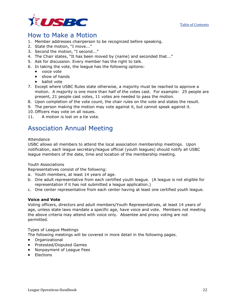



### How to Make a Motion

- 1. Member addresses chairperson to be recognized before speaking.
- 2. State the motion, "I move..."
- 3. Second the motion, "I second..."
- 4. The Chair states, "It has been moved by (name) and seconded that..."
- 5. Ask for discussion. Every member has the right to talk.
- 6. In taking the vote, the league has the following options:
	- voice vote
	- show of hands
	- ballot vote
- 7. Except where USBC Rules state otherwise, a majority must be reached to approve a motion. A majority is one more than half of the votes cast. For example: 25 people are present, 21 people cast votes, 11 votes are needed to pass the motion.
- 8. Upon completion of the vote count, the chair rules on the vote and states the result.
- 9. The person making the motion may vote against it, but cannot speak against it.
- 10. Officers may vote on all issues.
- 11. A motion is lost on a tie vote.

### Association Annual Meeting

### Attendance

USBC allows all members to attend the local association membership meetings. Upon notification, each league secretary/league official (youth leagues) should notify all USBC league members of the date, time and location of the membership meeting.

### Youth Associations

Representatives consist of the following:

- a. Youth members, at least 14 years of age.
- b. One adult representative from each certified youth league. (A league is not eligible for representation if it has not submitted a league application.)
- c. One center representative from each center having at least one certified youth league.

### **Voice and Vote**

Voting officers, directors and adult members/Youth Representatives, at least 14 years of age, unless state laws mandate a specific age, have voice and vote. Members not meeting the above criteria may attend with voice only. Absentee and proxy voting are not permitted.

### Types of League Meetings

The following meetings will be covered in more detail in the following pages.

- Organizational
- Protested/Disputed Games
- Nonpayment of League Fees
- Elections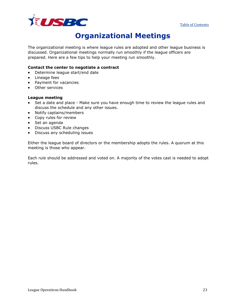



# **Organizational Meetings**

<span id="page-23-0"></span>The organizational meeting is where league rules are adopted and other league business is discussed. Organizational meetings normally run smoothly if the league officers are prepared. Here are a few tips to help your meeting run smoothly.

### **Contact the center to negotiate a contract**

- Determine league start/end date
- Lineage fees
- Payment for vacancies
- Other services

### **League meeting**

- Set a date and place Make sure you have enough time to review the league rules and discuss the schedule and any other issues.
- Notify captains/members
- Copy rules for review
- Set an agenda
- Discuss USBC Rule changes
- Discuss any scheduling issues

Either the league board of directors or the membership adopts the rules. A quorum at this meeting is those who appear.

Each rule should be addressed and voted on. A majority of the votes cast is needed to adopt rules.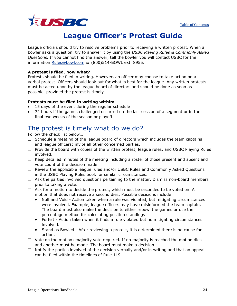

## **League Officer's Protest Guide**

<span id="page-24-0"></span>League officials should try to resolve problems prior to receiving a written protest. When a bowler asks a question, try to answer it by using the *USBC Playing Rules & Commonly Asked Questions.* If you cannot find the answer, tell the bowler you will contact USBC for the information [Rules@bowl.com](mailto:Rules@bowl.com) *or* (800)514-BOWL ext. 8955.

### **A protest is filed, now what?**

Protests should be filed in writing. However, an officer may choose to take action on a verbal protest. Officers should look out for what is best for the league. Any written protests must be acted upon by the league board of directors and should be done as soon as possible, provided the protest is timely.

### **Protests must be filed in writing within:**

- 15 days of the event during the regular schedule
- 72 hours if the games challenged occurred on the last session of a segment or in the final two weeks of the season or playoff.

## The protest is timely what do we do?

Follow the check list below…

- $\Box$  Schedule a meeting of the league board of directors which includes the team captains and league officers; invite all other concerned parties.
- $\Box$  Provide the board with copies of the written protest, league rules, and USBC Playing Rules involved.
- $\Box$  Keep detailed minutes of the meeting including a roster of those present and absent and vote count of the decision made.
- $\Box$  Review the applicable league rules and/or USBC Rules and Commonly Asked Questions in the USBC Playing Rules book for similar circumstances.
- $\Box$  Ask the parties involved questions pertaining to the matter. Dismiss non-board members prior to taking a vote.
- $\Box$  Ask for a motion to decide the protest, which must be seconded to be voted on. A motion that does not receive a second dies. Possible decisions include:
	- Null and Void Action taken when a rule was violated, but mitigating circumstances were involved. Example, league officers may have misinformed the team captain. The board must also make the decision to either rebowl the games or use the percentage method for calculating position standings
	- Forfeit Action taken when it finds a rule violated but no mitigating circumstances involved.
	- Stand as Bowled After reviewing a protest, it is determined there is no cause for action.
- $\Box$  Vote on the motion; majority vote required. If no majority is reached the motion dies and another must be made. The board must make a decision.
- $\Box$  Notify the parties involved of the decision verbally and/or in writing and that an appeal can be filed within the timelines of Rule 119.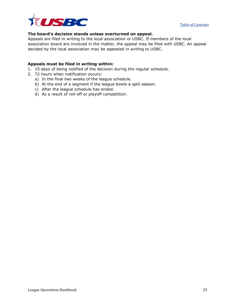

### **The board's decision stands unless overturned on appeal.**

Appeals are filed in writing to the local association or USBC. If members of the local association board are involved in the matter, the appeal may be filed with USBC. An appeal decided by the local association may be appealed in writing to USBC.

### **Appeals must be filed in writing within:**

- 1. 15 days of being notified of the decision during the regular schedule.
- 2. 72 hours when notification occurs:
	- a) In the final two weeks of the league schedule.
	- b) At the end of a segment if the league bowls a split season.
	- c) After the league schedule has ended.
	- d) As a result of roll-off or playoff competition.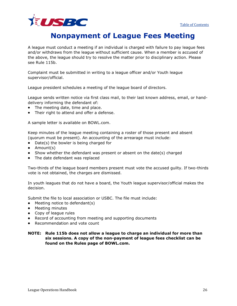

## **Nonpayment of League Fees Meeting**

<span id="page-26-0"></span>A league must conduct a meeting if an individual is charged with failure to pay league fees and/or withdraws from the league without sufficient cause. When a member is accused of the above, the league should try to resolve the matter prior to disciplinary action. Please see Rule 115b.

Complaint must be submitted in writing to a league officer and/or Youth league supervisor/official.

League president schedules a meeting of the league board of directors.

League sends written notice via first class mail, to their last known address, email, or handdelivery informing the defendant of:

- The meeting date, time and place.
- Their right to attend and offer a defense.

A sample letter is available on BOWL.com.

Keep minutes of the league meeting containing a roster of those present and absent (quorum must be present). An accounting of the arrearage must include:

- Date(s) the bowler is being charged for
- Amount(s)
- Show whether the defendant was present or absent on the date(s) charged
- The date defendant was replaced

Two-thirds of the league board members present must vote the accused guilty. If two-thirds vote is not obtained, the charges are dismissed.

In youth leagues that do not have a board, the Youth league supervisor/official makes the decision.

Submit the file to local association or USBC. The file must include:

- Meeting notice to defendant(s)
- Meeting minutes
- Copy of league rules
- Record of accounting from meeting and supporting documents
- Recommendation and vote count

### **NOTE: Rule 115b does not allow a league to charge an individual for more than six sessions. A copy of the non-payment of league fees checklist can be found on the Rules page of BOWL.com.**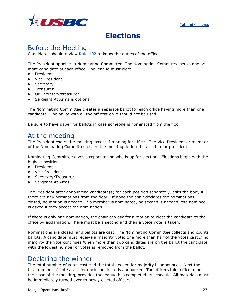

## **Elections**

## <span id="page-27-0"></span>Before the Meeting

Candidates should review [Rule 102](http://usbcongress.http.internapcdn.net/usbcongress/bowl/rulebook/Rulebook_rev041310/whgdata/whlstt16.htm#16) to know the duties of the office.

The President appoints a Nominating Committee. The Nominating Committee seeks one or more candidate of each office. The league must elect:

- President
- Vice President
- Secretary
- Treasurer
- Or Secretary/treasurer
- Sergeant At Arms is optional

The Nominating Committee creates a separate ballot for each office having more than one candidate. One ballot with all the officers on it should not be used.

Be sure to have paper for ballots in case someone is nominated from the floor.

### At the meeting

The President chairs the meeting except if running for office. The Vice President or member of the Nominating Committee chairs the meeting during the election for president.

Nominating Committee gives a report telling who is up for election. Elections begin with the highest position –

- President
- Vice President
- Secretary/Treasurer
- Sergeant At Arms

The President after announcing candidate(s) for each position separately, asks the body if there are any nominations from the floor. If none the chair declares the nominations closed, no motion is needed. If a member is nominated, no second is needed; the nominee is asked if they accept the nomination.

If there is only one nomination, the chair can ask for a motion to elect the candidate to the office by acclamation. There must be a second and then a voice vote is taken.

Nominations are closed, and ballots are cast. The Nominating Committee collects and counts ballots. A candidate must receive a majority vote; one more than half of the votes cast If no majority the vote continues When more than two candidates are on the ballot the candidate with the lowest number of votes is removed from the ballot.

### Declaring the winner

The total number of votes cast and the total needed for majority is announced. Next the total number of votes cast for each candidate is announced. The officers take office upon the close of the meeting, provided the league has completed its schedule. All materials must be immediately turned over to newly elected officers.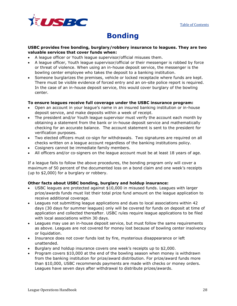

# **Bonding**

### <span id="page-28-0"></span>**USBC provides free bonding, burglary/robbery insurance to leagues. They are two valuable services that cover funds when:**

- A league officer or Youth league supervisor/official misuses them.
- A league officer, Youth league supervisor/official or their messenger is robbed by force or threat of violence. When using an in-house deposit service, the messenger is the bowling center employee who takes the deposit to a banking institution.
- Someone burglarizes the premises, vehicle or locked receptacle where funds are kept. There must be visible evidence of forced entry and an on-site police report is required. In the case of an in-house deposit service, this would cover burglary of the bowling center.

### **To ensure leagues receive full coverage under the USBC insurance program:**

- Open an account in your league's name in an insured banking institution or in-house deposit service, and make deposits within a week of receipt.
- The president and/or Youth league supervisor must verify the account each month by obtaining a statement from the bank or in-house deposit service and mathematically checking for an accurate balance. The account statement is sent to the president for verification purposes.
- Two elected officers must co-sign for withdrawals. Two signatures are required on all checks written on a league account regardless of the banking institutions policy.
- Cosigners cannot be immediate family members.
- All officers and/or co-signers on the league account must be at least 18 years of age.

If a league fails to follow the above procedures, the bonding program only will cover a maximum of 50 percent of the documented loss on a bond claim and one week's receipts (up to \$2,000) for a burglary or robbery.

### **Other facts about USBC bonding, burglary and holdup insurance:**

- USBC leagues are protected against \$10,000 in misused funds. Leagues with larger prize/awards funds must list their total prize fund amount on the league application to receive additional coverage.
- Leagues not submitting league applications and dues to local associations within 42 days (30 days for summer leagues) only will be covered for funds on deposit at time of application and collected thereafter. USBC rules require league applications to be filed with local associations within 30 days.
- Leagues may use an in-house deposit service, but must follow the same requirements as above. Leagues are not covered for money lost because of bowling center insolvency or liquidation.
- Insurance does not cover funds lost by fire, mysterious disappearance or left unattended.
- Burglary and holdup insurance covers one week's receipts up to \$2,000.
- Program covers \$10,000 at the end of the bowling season when money is withdrawn from the banking institution for prize/award distribution. For prize/award funds more than \$10,000, USBC recommends payments are made with checks or money orders. Leagues have seven days after withdrawal to distribute prizes/awards.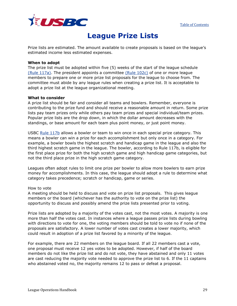

## **League Prize Lists**

<span id="page-29-0"></span>Prize lists are estimated. The amount available to create proposals is based on the league's estimated income less estimated expenses.

### **When to adopt**

The prize list must be adopted within five (5) weeks of the start of the league schedule [\(Rule 117a\).](http://www.bowl.com/Downloads/misc/rules/WebHelp%20Pro/playing_rules_and_commonly_asked_questions/chapter_4___league_rules/rule_117___prizes/117a_prize_list.htm) The president appoints a committee [\(Rule 102c\)](http://www.bowl.com/Downloads/misc/rules/WebHelp%20Pro/playing_rules_and_commonly_asked_questions/chapter_4___league_rules/rule_102___league_officers/102c_duties_of_the_president.htm) of one or more league members to prepare one or more prize list proposals for the league to choose from. The committee must abide by any league rules when creating a prize list. It is acceptable to adopt a prize list at the league organizational meeting.

### **What to consider**

A prize list should be fair and consider all teams and bowlers. Remember, everyone is contributing to the prize fund and should receive a reasonable amount in return. Some prize lists pay team prizes only while others pay team prizes and special individual/team prizes. Popular prize lists are the drop down, in which the dollar amount decreases with the standings, or base amount for each team plus point money, or just point money.

USBC [Rule 117b](http://www.bowl.com/Downloads/misc/rules/WebHelp%20Pro/playing_rules_and_commonly_asked_questions/chapter_4___league_rules/rule_117___prizes/117b_qualification.htm) allows a bowler or team to win once in each special prize category. This means a bowler can win a prize for each accomplishment but only once in a category. For example, a bowler bowls the highest scratch and handicap game in the league and also the third highest scratch game in the league. The bowler, according to Rule 117b, is eligible for the first place prize for both the high scratch game and high handicap game categories, but not the third place prize in the high scratch game category.

Leagues often adopt rules to limit one prize per bowler to allow more bowlers to earn prize money for accomplishments. In this case, the league should adopt a rule to determine what category takes precedence; scratch or handicap, game or series.

### How to vote

A meeting should be held to discuss and vote on prize list proposals. This gives league members or the board (whichever has the authority to vote on the prize list) the opportunity to discuss and possibly amend the prize lists presented prior to voting.

Prize lists are adopted by a majority of the votes cast, not the most votes. A majority is one more than half the votes cast. In instances where a league passes prize lists during bowling with directions to vote for one, the voting members should be told to vote no if none of the proposals are satisfactory. A lower number of votes cast creates a lower majority, which could result in adoption of a prize list favored by a minority of the league.

For example, there are 22 members on the league board. If all 22 members cast a vote, one proposal must receive 12 yes votes to be adopted. However, if half of the board members do not like the prize list and do not vote, they have abstained and only 11 votes are cast reducing the majority vote needed to approve the prize list to 6. If the 11 captains who abstained voted no, the majority remains 12 to pass or defeat a proposal.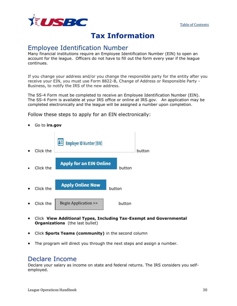

## **Tax Information**

### <span id="page-30-0"></span>Employee Identification Number

Many financial institutions require an Employee Identification Number (EIN) to open an account for the league. Officers do not have to fill out the form every year if the league continues.

If you change your address and/or you change the responsible party for the entity after you receive your EIN, you must use Form 8822-B, Change of Address or Responsible Party - Business, to notify the IRS of the new address.

The SS-4 Form must be completed to receive an Employee Identification Number (EIN). The SS-4 Form is available at your IRS office or online at IRS.gov. An application may be completed electronically and the league will be assigned a number upon completion.

Follow these steps to apply for an EIN electronically:

- **Employer ID Number (EIN) • Click the button Apply for an EIN Online Click the button EXAPPLY Online Now button** • Click the  $\vert$  Begin Application >>  $\vert$  button
- Click **View Additional Types, Including Tax-Exempt and Governmental Organizations** (the last bullet)
- Click **Sports Teams (community)** in the second column
- The program will direct you through the next steps and assign a number.

### Declare Income

<span id="page-30-1"></span>Declare your salary as income on state and federal returns. The IRS considers you selfemployed.

• Go to **irs.gov**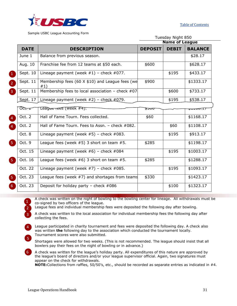

Sample USBC League Accounting Form

|                      |             |                                                               |                | Tuesday Night 850     |                |  |
|----------------------|-------------|---------------------------------------------------------------|----------------|-----------------------|----------------|--|
|                      |             |                                                               |                | <b>Name of League</b> |                |  |
|                      | <b>DATE</b> | <b>DESCRIPTION</b>                                            | <b>DEPOSIT</b> | <b>DEBIT</b>          | <b>BALANCE</b> |  |
|                      | June 1      | Balance from previous season.                                 |                |                       | \$28.17        |  |
|                      | Aug. 10     | Franchise fee from 12 teams at \$50 each.                     | \$600          |                       | \$628.17       |  |
|                      | Sept. 10    | Lineage payment (week $#1$ ) – check $#077$ .                 |                | \$195                 | \$433.17       |  |
| $\frac{2}{\sqrt{2}}$ | Sept. 11    | Membership fees (60 $\times$ \$10) and League fees (we<br>#1) | \$900          |                       | \$1333.17      |  |
| 3 <sup>1</sup>       | Sept. 11    | Membership fees to local association - check $#07$            |                | \$600                 | \$733.17       |  |
|                      | Sept. 17    | Lineage payment (week $#2$ ) - check $#079$ .                 |                | \$195                 | \$538.17       |  |
|                      | ᢆᢗᢗᡕ᠇᠊ᡔ     | League rees (week #4).                                        | ᠊ᡑᠴᠣᠣ          |                       | ᢦᠴᠴᢦᠣ᠋         |  |
| $\overline{4}$       | Oct. 2      | Hall of Fame Tourn. Fees collected.                           | \$60           |                       | \$1168.17      |  |
| $\overline{4}$       | Oct. 2      | Hall of Fame Tourn. Fees to Assn. - check #082.               |                | \$60                  | \$1108.17      |  |
|                      | Oct. 8      | Lineage payment (week $#5$ ) – check $#083$ .                 |                | \$195                 | \$913.17       |  |
| 5.                   | Oct. 9      | League fees (week $#5$ ) 3 short on team $#5$ .               | \$285          |                       | \$1198.17      |  |
|                      | Oct. 15     | Lineage payment (week $#6$ ) – check $#084$                   |                | \$195                 | \$1003.17      |  |
| 5.                   | Oct. 16     | League fees (week $#6$ ) 3 short on team $#5$ .               | \$285          |                       | \$1288.17      |  |
|                      | Oct. 22     | Lineage payment (week $#7$ ) – check $#085$ .                 |                | \$195                 | \$1093.17      |  |
| 5.                   | Oct. 23     | League fees (week #7) and shortages from teams                | \$330          |                       | \$1423.17      |  |
| 6                    | Oct. 23     | Deposit for holiday party - check $#086$                      |                | \$100                 | \$1323.17      |  |

A check was written on the night of bowling to the bowling center for lineage. All withdrawals must be co-signed by two officers of the league.

League fees and individual membership fees were deposited the following day after bowling.

A check was written to the local association for individual membership fees the following day after collecting the fees.

4 League participated in charity tournament and fees were deposited the following day. A check also was written **the** following day to the association which conducted the tournament locally. Tournament scores were also submitted.

5 Shortages were allowed for two weeks. (This is not recommended. The league should insist that all bowlers pay their fees on the night of bowling or in advance.)

6 A check was written for the league's holiday party. All expenditures of this nature are approved by the league's board of directors and/or your league supervisor official. Again, two signatures must appear on the check for withdrawals.

**NOTE:**Collections from raffles, 50/50's, etc., should be recorded as separate entries as indicated in #4.

1

2

3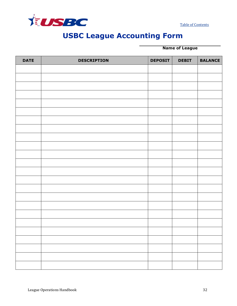<span id="page-32-0"></span>

[Table of Contents](#page-1-0)

# **USBC League Accounting Form**

**Name of League**

<span id="page-32-1"></span>

| <b>DATE</b> | <b>DESCRIPTION</b> | <b>DEPOSIT</b> | <b>DEBIT</b> | <b>BALANCE</b> |
|-------------|--------------------|----------------|--------------|----------------|
|             |                    |                |              |                |
|             |                    |                |              |                |
|             |                    |                |              |                |
|             |                    |                |              |                |
|             |                    |                |              |                |
|             |                    |                |              |                |
|             |                    |                |              |                |
|             |                    |                |              |                |
|             |                    |                |              |                |
|             |                    |                |              |                |
|             |                    |                |              |                |
|             |                    |                |              |                |
|             |                    |                |              |                |
|             |                    |                |              |                |
|             |                    |                |              |                |
|             |                    |                |              |                |
|             |                    |                |              |                |
|             |                    |                |              |                |
|             |                    |                |              |                |
|             |                    |                |              |                |
|             |                    |                |              |                |
|             |                    |                |              |                |
|             |                    |                |              |                |
|             |                    |                |              |                |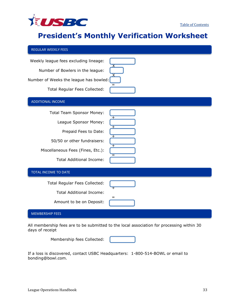

# **President's Monthly Verification Worksheet**

| <b>REGULAR WEEKLY FEES</b>                                                                                                                                                                |                         |
|-------------------------------------------------------------------------------------------------------------------------------------------------------------------------------------------|-------------------------|
| Weekly league fees excluding lineage:<br>Number of Bowlers in the league:<br>Number of Weeks the league has bowled:<br>Total Regular Fees Collected:                                      |                         |
| <b>ADDITIONAL INCOME</b>                                                                                                                                                                  |                         |
| <b>Total Team Sponsor Money:</b><br>League Sponsor Money:<br>Prepaid Fees to Date:<br>50/50 or other fundraisers:<br>Miscellaneous Fees (Fines, Etc.):<br><b>Total Additional Income:</b> | $^+$<br>٠<br>$\pm$<br>Ξ |
| TOTAL INCOME TO DATE                                                                                                                                                                      |                         |
| Total Regular Fees Collected:<br><b>Total Additional Income:</b><br>Amount to be on Deposit:                                                                                              | =                       |
| <b>MEMBERSHIP FEES</b>                                                                                                                                                                    |                         |

All membership fees are to be submitted to the local association for processing within 30 days of receipt

> Membership fees Collected: I.

If a loss is discovered, contact USBC Headquarters: 1-800-514-BOWL or email to bonding@bowl.com.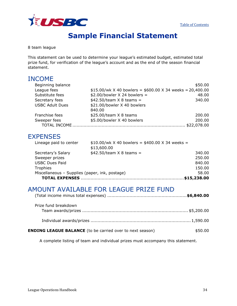

# **Sample Financial Statement**

<span id="page-34-0"></span>8 team league

This statement can be used to determine your league's estimated budget, estimated total prize fund, for verification of the league's account and as the end of the season financial statement.

### INCOME

| Beginning balance      |                                                            | \$50.00     |
|------------------------|------------------------------------------------------------|-------------|
| League fees            | $$15.00/wk$ X 40 bowlers = \$600.00 X 34 weeks = 20,400.00 |             |
| Substitute fees        | $$2.00/bowler$ X 24 bowlers =                              | 48.00       |
| Secretary fees         | $$42.50/team \times 8$ teams =                             | 340.00      |
| <b>USBC Adult Dues</b> | \$21.00/bowler X 40 bowlers                                |             |
|                        | 840.00                                                     |             |
| Franchise fees         | $$25.00/$ team $X$ 8 teams                                 | 200.00      |
| Sweeper fees           | \$5.00/bowler X 40 bowlers                                 | 200.00      |
| TOTAL INCOME.          |                                                            | \$22,078.00 |

### **EXPENSES**

| Lineage paid to center                         | $$10.00/wk$ X 40 bowlers = \$400.00 X 34 weeks = |        |
|------------------------------------------------|--------------------------------------------------|--------|
|                                                | \$13,600.00                                      |        |
| Secretary's Salary                             | $$42.50/team \times 8$ teams =                   | 340.00 |
| Sweeper prizes                                 |                                                  | 250.00 |
| <b>USBC Dues Paid</b>                          |                                                  | 840.00 |
| Trophies                                       |                                                  | 150.00 |
| Miscellaneous - Supplies (paper, ink, postage) |                                                  | 58.00  |
| <b>TOTAL EXPENSES</b>                          |                                                  |        |

## AMOUNT AVAILABLE FOR LEAGUE PRIZE FUND

|--|--|

| Prize fund breakdown                                             |         |
|------------------------------------------------------------------|---------|
|                                                                  |         |
| <b>ENDING LEAGUE BALANCE</b> (to be carried over to next season) | \$50.00 |

A complete listing of team and individual prizes must accompany this statement.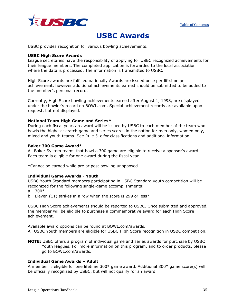

## **USBC Awards**

<span id="page-35-0"></span>USBC provides recognition for various bowling achievements.

### **USBC High Score Awards**

League secretaries have the responsibility of applying for USBC recognized achievements for their league members. The completed application is forwarded to the local association where the data is processed. The information is transmitted to USBC.

High Score awards are fulfilled nationally Awards are issued once per lifetime per achievement, however additional achievements earned should be submitted to be added to the member's personal record.

Currently, High Score bowling achievements earned after August 1, 1998, are displayed under the bowler's record on BOWL.com. Special achievement records are available upon request, but not displayed.

### **National Team High Game and Series***\**

During each fiscal year, an award will be issued by USBC to each member of the team who bowls the highest scratch game and series scores in the nation for men only, women only, mixed and youth teams. See Rule 51c for classifications and additional information.

### **Baker 300 Game Award\***

All Baker System teams that bowl a 300 game are eligible to receive a sponsor's award. Each team is eligible for one award during the fiscal year.

\*Cannot be earned while pre or post bowling unopposed.

### **Individual Game Awards - Youth**

USBC Youth Standard members participating in USBC Standard youth competition will be recognized for the following single-game accomplishments:

- a. 300\*
- b. Eleven (11) strikes in a row when the score is 299 or less\*

USBC High Score achievements should be reported to USBC. Once submitted and approved, the member will be eligible to purchase a commemorative award for each High Score achievement.

Available award options can be found at BOWL.com/awards. All USBC Youth members are eligible for USBC High Score recognition in USBC competition.

**NOTE:** USBC offers a program of individual game and series awards for purchase by USBC Youth leagues. For more information on this program, and to order products, please go to BOWL.com/awards.

### **Individual Game Awards – Adult**

A member is eligible for one lifetime 300\* game award. Additional 300\* game score(s) will be officially recognized by USBC, but will not qualify for an award.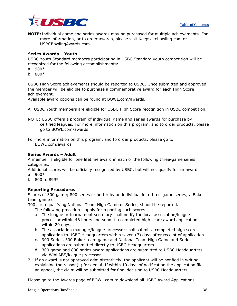

**NOTE:** Individual game and series awards may be purchased for multiple achievements. For more information, or to order awards, please visit Keepsakebowling.com or USBCBowlingAwards.com

### **Series Awards – Youth**

USBC Youth Standard members participating in USBC Standard youth competition will be recognized for the following accomplishments:

- a. 900\*
- b. 800\*

USBC High Score achievements should be reported to USBC. Once submitted and approved, the member will be eligible to purchase a commemorative award for each High Score achievement.

Available award options can be found at BOWL.com/awards.

All USBC Youth members are eligible for USBC High Score recognition in USBC competition.

NOTE: USBC offers a program of individual game and series awards for purchase by certified leagues. For more information on this program, and to order products, please go to BOWL.com/awards.

For more information on this program, and to order products, please go to BOWL.com/awards

### **Series Awards – Adult**

A member is eligible for one lifetime award in each of the following three-game series categories.

Additional scores will be officially recognized by USBC, but will not qualify for an award. a. 900\*

- b. 800 to 899\*
- 

### **Reporting Procedures**

Scores of 300 game; 800 series or better by an individual in a three-game series; a Baker team game of

300; or a qualifying National Team High Game or Series, should be reported.

1. The following procedures apply for reporting such scores:

- a. The league or tournament secretary shall notify the local association/league processor within 48 hours and submit a completed high score award application within 20 days.
- b. The association manager/league processor shall submit a completed high score application to USBC Headquarters within seven (7) days after receipt of application.
- c. 900 Series, 300 Baker team game and National Team High Game and Series applications are submitted directly to USBC Headquarters.
- d. 300 game and 800 series award applications are submitted to USBC Headquarters via WinLABS/league processor.
- 2. If an award is not approved administratively, the applicant will be notified in writing explaining the reason(s) for denial. If within 10 days of notification the application files an appeal, the claim will be submitted for final decision to USBC Headquarters.

Please go to the Awards page of BOWL.com to download all USBC Award Applications.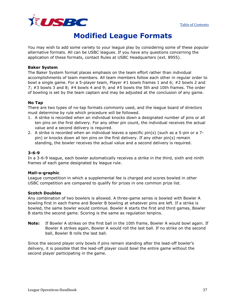

## **Modified League Formats**

<span id="page-37-0"></span>You may wish to add some variety to your league play by considering some of these popular alternative formats. All can be USBC leagues. If you have any questions concerning the application of these formats, contact Rules at USBC Headquarters (ext. 8955).

### **Baker System**

The Baker System format places emphasis on the team effort rather than individual accomplishments of team members. All team members follow each other in regular order to bowl a single game. For a 5-player team, Player #1 bowls frames 1 and 6; #2 bowls 2 and 7; #3 bowls 3 and 8; #4 bowls 4 and 9; and #5 bowls the 5th and 10th frames. The order of bowling is set by the team captain and may be adjusted at the conclusion of any game.

### **No Tap**

There are two types of no-tap formats commonly used, and the league board of directors must determine by rule which procedure will be followed.

- 1. A strike is recorded when an individual knocks down a designated number of pins or all ten pins on the first delivery. For any other pin count, the individual receives the actual value and a second delivery is required.
- 2. A strike is recorded when an individual leaves a specific pin(s) (such as a 5-pin or a 7 pin) or knocks down all ten pins on the first delivery. If any other pin(s) remain standing, the bowler receives the actual value and a second delivery is required.

### **3-6-9**

In a 3-6-9 league, each bowler automatically receives a strike in the third, sixth and ninth frames of each game designated by league rule.

### **Mail-o-graphic**

League competition in which a supplemental fee is charged and scores bowled in other USBC competition are compared to qualify for prizes in one common prize list.

### **Scotch Doubles**

Any combination of two bowlers is allowed. A three-game series is bowled with Bowler A bowling first in each frame and Bowler B bowling at whatever pins are left. If a strike is bowled, the same bowler would continue. Bowler A starts the first and third games, Bowler B starts the second game. Scoring is the same as regulation tenpins.

**Note:** If Bowler A strikes on the first ball in the 10th frame, Bowler A would bowl again. If Bowler A strikes again, Bowler A would roll the last ball. If no strike on the second ball, Bowler B rolls the last ball.

Since the second player only bowls if pins remain standing after the lead-off bowler's delivery, it is possible that the lead-off player could bowl the entire game without the second player participating in the game.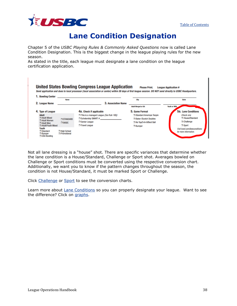

 $\blacksquare$ 

## **Lane Condition Designation**

<span id="page-38-0"></span>Chapter 5 of the *USBC Playing Rules & Commonly Asked Questions* now is called Lane Condition Designation. This is the biggest change in the league playing rules for the new season.

As stated in the title, each league must designate a lane condition on the league certification application.

| 1. Bowling Center                                                                | Name                                |                                                                                                              | City                                                                                                | <b>State</b>                                                        |
|----------------------------------------------------------------------------------|-------------------------------------|--------------------------------------------------------------------------------------------------------------|-----------------------------------------------------------------------------------------------------|---------------------------------------------------------------------|
| 2. League Name                                                                   |                                     | <b>3. Association Name</b>                                                                                   | <b>Adult Merged or BA</b>                                                                           | <b>Youth or WBA</b>                                                 |
| 4. Type of League                                                                |                                     | 4a. Check if applicable                                                                                      | 5. Game Format                                                                                      | 5a. Lane Conditions                                                 |
| <b>Adult</b><br>□ Adult Mixed<br>Adult Women<br>Adult Men<br>□ Adult/Youth Mixed | <b>T STANDARD</b><br>$\Box$ BASIC   | This is a managed League (See Rule 100i)<br>$\Box$ Scholarship SMART #<br>□ Senior League<br>□ Travel League | Standard American Tenpin<br><b>Baker /Scotch Doubles</b><br>No Tap/3-6-9/Best Ball<br>$\Box$ Bumper | Check one<br><b>T</b> House/Standard<br>$\Box$ Challenge<br>□ Sport |
| Youth<br>□ Standard<br>$\Box$ Bumper<br>□ USA Bowling                            | □ High School<br><b>Promotional</b> |                                                                                                              |                                                                                                     | Visit bowl.com/laneconditions<br>for more information.              |

Not all lane dressing is a "house" shot. There are specific variances that determine whether the lane condition is a House/Standard, Challenge or Sport shot. Averages bowled on Challenge or Sport conditions must be converted using the respective conversion chart. Additionally, we want you to know if the pattern changes throughout the season, the condition is not House/Standard, it must be marked Sport or Challenge.

Click [Challenge](http://usbcongress.http.internapcdn.net/usbcongress/bowl/sportbowling/pdfs/2017/2017ChallengeConversionChart.pdf) or [Sport](http://usbcongress.http.internapcdn.net/usbcongress/bowl/sportbowling/pdfs/2017/2017SportConversionChart.pdf) to see the conversion charts.

Learn more about **Lane Conditions** so you can properly designate your league. Want to see the difference? Click on [graphs.](http://usbcongress.http.internapcdn.net/usbcongress/bowl/associations/pdfs/LaneConditionClassificationFlyer.pdf)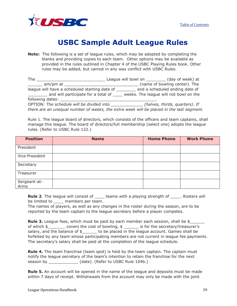

# **USBC Sample Adult League Rules**

<span id="page-39-0"></span>**Note:** The following is a set of league rules, which may be adopted by completing the blanks and providing copies to each team. Other options may be available as provided in the rules outlined in Chapter 4 of the USBC Playing Rules book. Other rules may be added, but cannot in any way conflict with USBC Rules.

| The              |                                                                                          |                                        |                                |
|------------------|------------------------------------------------------------------------------------------|----------------------------------------|--------------------------------|
| am/pm at         |                                                                                          |                                        | (name of bowling center). The  |
|                  | league will have a scheduled starting date of                                            |                                        | and a scheduled ending date of |
|                  | and will participate for a total of                                                      | weeks. The league will not bowl on the |                                |
| following dates: |                                                                                          |                                        |                                |
|                  | OPTION: The schedule will be divided into                                                |                                        | (halves, thirds, quarters). If |
|                  | there are an unequal number of weeks, the extra week will be placed in the last segment. |                                        |                                |

Rule 1. The league board of directors, which consists of the officers and team captains, shall manage this league. The board of directors/full membership (select one) adopts the league rules. (Refer to USBC Rule 122.)

| <b>Position</b>      | <b>Name</b> | <b>Home Phone</b> | <b>Work Phone</b> |
|----------------------|-------------|-------------------|-------------------|
| President            |             |                   |                   |
| Vice President       |             |                   |                   |
| Secretary            |             |                   |                   |
| Treasurer            |             |                   |                   |
| Sergeant-at-<br>Arms |             |                   |                   |

**Rule 2.** The league will consist of <u>equility</u> teams with a playing strength of **constant and report** will be limited to members per team.

The names of players, as well as any changes in the roster during the season, are to be reported by the team captain to the league secretary before a player competes.

**Rule 3.** League fees, which must be paid by each member each session, shall be \$ of which \$\_\_\_\_\_\_\_ covers the cost of bowling, \$ \_\_\_\_\_\_ is for the secretary/treasurer's salary, and the balance of  $\frac{1}{2}$  to be placed in the league account. Games shall be forfeited by any team whose participating members are not current in league fee payments. The secretary's salary shall be paid at the completion of the league schedule.

**Rule 4.** The team franchise (team spot) is held by the team captain. The captain must notify the league secretary of the team's intention to retain the franchise for the next season by  $(date)$ . (Refer to USBC Rule 104b.)

**Rule 5.** An account will be opened in the name of the league and deposits must be made within 7 days of receipt. Withdrawals from the account may only be made with the joint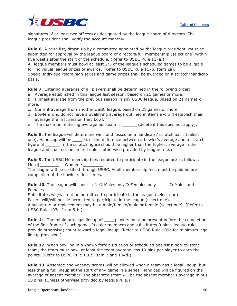

signatures of at least two officers as designated by the league board of directors. The league president shall verify the account monthly.

**Rule 6.** A prize list, drawn up by a committee appointed by the league president, must be submitted for approval by the league board of directors/full membership (select one) within five weeks after the start of the schedule. (Refer to USBC Rule 117a.) All league members must bowl at least 2/3 of the league's scheduled games to be eligible for individual league prizes or awards. (Refer to USBC Rule 117b, Item 2a). Special individual/team high series and game prizes shall be awarded on a scratch/handicap basis.

**Rule 7**. Entering averages of all players shall be determined in the following order:

- a. Average established in this league last season, based on 21 games or more.
- b. Highest average from the previous season in any USBC league, based on 21 games or more.
- c. Current average from another USBC league, based on 21 games or more.
- d. Bowlers who do not have a qualifying average outlined in items a-c will establish their average the first session they bowl.
- e. The maximum entering average per team is each delete if this does not apply).

**Rule 8**. The league will determine wins and losses on a handicap / scratch basis (select one). Handicap will be \_\_\_\_ % of the difference between a bowler's average and a scratch figure of \_\_\_\_\_\_. (The scratch figure should be higher than the highest average in the league and shall not be limited unless otherwise provided by league rule.)

**Rule 9.** The USBC Membership fees required to participate in the league are as follows: Men \$ Women \$

The league will be certified through USBC. Adult membership fees must be paid before completion of the bowler's first series.

**Rule 10.** The league will consist of:  $\circ$  Males only  $\circ$  Females only  $\circ$  Males and Females

Substitutes will/will not be permitted to participate in the league (select one).

Pacers will/will not be permitted to participate in the league (select one).

A substitute or replacement may be a male/female/male or female (select one). (Refer to USBC Rule 107c, Item 5-b.)

**Rule 11.** The minimum legal lineup of \_\_\_\_ players must be present before the completion of the first frame of each game. Regular members and substitutes (unless league rules provide otherwise) count toward a legal lineup. (Refer to USBC Rule 109a for minimum legal lineup provision.)

**Rule 12.** When bowling in a known forfeit situation or scheduled against a non-existent team, the team must bowl at least the team average less 10 pins per player to earn the points. (Refer to USBC Rule 110c, Item 2 and 104d.)

**Rule 13.** Absentee and vacancy scores will be allowed when a team has a legal lineup, but less than a full lineup at the start of any game in a series. Handicap will be figured on the average of absent member. The absentee score will be the absent member's average minus 10 pins. (Unless otherwise provided by league rule.)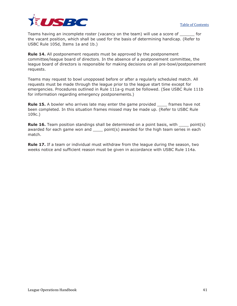

Teams having an incomplete roster (vacancy on the team) will use a score of \_\_\_\_\_\_ for the vacant position, which shall be used for the basis of determining handicap. (Refer to USBC Rule 105d, Items 1a and 1b.)

**Rule 14.** All postponement requests must be approved by the postponement committee/league board of directors. In the absence of a postponement committee, the league board of directors is responsible for making decisions on all pre-bowl/postponement requests.

Teams may request to bowl unopposed before or after a regularly scheduled match. All requests must be made through the league prior to the league start time except for emergencies. Procedures outlined in Rule 111a-g must be followed. (See USBC Rule 111b for information regarding emergency postponements.)

**Rule 15.** A bowler who arrives late may enter the game provided frames have not been completed. In this situation frames missed may be made up. (Refer to USBC Rule 109c.)

**Rule 16.** Team position standings shall be determined on a point basis, with \_\_\_\_ point(s) awarded for each game won and  $\_\_\_$  point(s) awarded for the high team series in each match.

**Rule 17.** If a team or individual must withdraw from the league during the season, two weeks notice and sufficient reason must be given in accordance with USBC Rule 114a.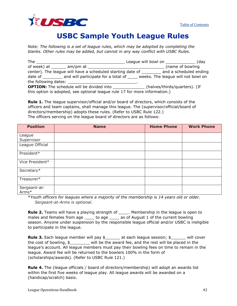

## **USBC Sample Youth League Rules**

<span id="page-42-0"></span>Note: *The following is a set of league rules, which may be adopted by completing the blanks. Other rules may be added, but cannot in any way conflict with USBC Rules.*

| The                                                                                              |  |                               |  |
|--------------------------------------------------------------------------------------------------|--|-------------------------------|--|
|                                                                                                  |  | (name of bowling              |  |
| center). The league will have a scheduled starting date of ___________ and a scheduled ending    |  |                               |  |
| date of __________ and will participate for a total of ______ weeks. The league will not bowl on |  |                               |  |
|                                                                                                  |  |                               |  |
| <b>OPTION:</b> The schedule will be divided into                                                 |  | (halves/thirds/quarters). (If |  |
| this option is adopted, see optional league rule 17 for more information.)                       |  |                               |  |

**Rule 1.** The league supervisor/official and/or board of directors, which consists of the officers and team captains, shall manage this league. The (supervisor/official/board of directors/membership) adopts these rules. (Refer to USBC Rule 122.) The officers serving on the league board of directors are as follows:

| <b>Position</b>       | <b>Name</b> | <b>Home Phone</b> | <b>Work Phone</b> |
|-----------------------|-------------|-------------------|-------------------|
| League                |             |                   |                   |
| Supervisor            |             |                   |                   |
| League Official       |             |                   |                   |
| President*            |             |                   |                   |
| Vice President*       |             |                   |                   |
| Secretary*            |             |                   |                   |
| Treasurer*            |             |                   |                   |
| Sergeant-at-<br>Arms* |             |                   |                   |

\**Youth officers for leagues where a majority of the membership is 14 years old or older. Sergeant-at-Arms is optional*.

**Rule 2.** Teams will have a playing strength of \_\_\_\_\_. Membership in the league is open to males and females from age \_\_\_\_\_ to age \_\_\_\_\_ as of August 1 of the current bowling season. Anyone under suspension by the responsible league official and/or USBC is ineligible to participate in the league.

**Rule 3.** Each league member will pay  $\frac{1}{2}$  at each league session;  $\frac{1}{2}$  will cover the cost of bowling, \$\_\_\_\_\_\_\_\_ will be the award fee, and the rest will be placed in the league's account. All league members must pay their bowling fees on time to remain in the league. Award fee will be returned to the bowlers 100% in the form of (scholarships/awards). (Refer to USBC Rule 121.)

**Rule 4.** The (league officials / board of directors/membership) will adopt an awards list within the first five weeks of league play. All league awards will be awarded on a (handicap/scratch) basis.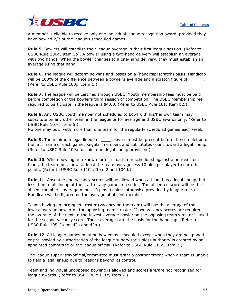

A member is eligible to receive only one individual league recognition award, provided they have bowled 2/3 of the league's scheduled games.

**Rule 5.** Bowlers will establish their league average in their first league session. (Refer to USBC Rule 100g, Item 3b). A bowler using a two-hand delivery will establish an average with two hands. When the bowler changes to a one-hand delivery, they must establish an average using that hand.

**Rule 6.** The league will determine wins and losses on a (handicap/scratch) basis. Handicap will be 100% of the difference between a bowler's average and a scratch figure of  $\qquad \qquad$ . (Refer to USBC Rule 100g, Item 1.)

**Rule 7.** The league will be certified through USBC. Youth membership fees must be paid before completion of the bowler's third session of competition. The USBC Membership fee required to participate in the league is \$4.00. (Refer to USBC Rule 101, Item b2.)

**Rule 8.** Any USBC youth member not scheduled to bowl with his/her own team may substitute on any other team in the league or for average and USBC awards only. (Refer to USBC Rule 107c, Item 6.)

No one may bowl with more than one team for the regularly scheduled games each week.

**Rule 9.** The minimum legal lineup of \_\_\_\_ players must be present before the completion of the first frame of each game. Regular members and substitutes count toward a legal lineup. (Refer to USBC Rule 109a for minimum legal lineup provision.)

**Rule 10.** When bowling in a known forfeit situation or scheduled against a non-existent team, the team must bowl at least the team average less 10 pins per player to earn the points. (Refer to USBC Rule 110c, Item 2 and 104d.)

**Rule 11.** Absentee and vacancy scores will be allowed when a team has a legal lineup, but less than a full lineup at the start of any game in a series. The absentee score will be the absent member's average minus 10 pins. (Unless otherwise provided by league rule.) Handicap will be figured on the average of absent member.

Teams having an incomplete roster (vacancy on the team) will use the average of the lowest average bowler on the opposing team's roster. If two vacancy scores are required, the average of the next-to-the-lowest-average bowler on the opposing team's roster is used for the second vacancy score. These averages are the basis for the handicap. (Refer to USBC Rule 105, Items d2a and d2b.)

**Rule 12.** All league games must be bowled as scheduled except when they are postponed or pre-bowled by authorization of the league supervisor, unless authority is granted by an appointed committee or the league official. (Refer to USBC Rule 111d, Item 2.)

The league supervisor/official/committee must grant a postponement when a team is unable to field a legal lineup due to reasons beyond its control.

Team and individual unopposed bowling is allowed and scores are/are not recognized for league awards. (Refer to USBC Rule 111e, Item 7.)